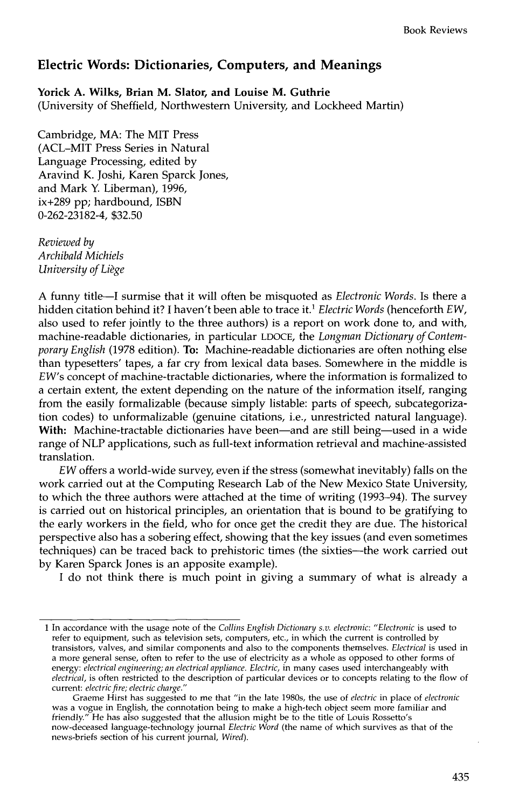## **Electric Words: Dictionaries, Computers, and Meanings**

**Yorick A. Wilks, Brian M. Slator, and Louise M. Guthrie** 

(University of Sheffield, Northwestern University, and Lockheed Martin)

Cambridge, MA: The MIT Press (ACL-MIT Press Series in Natural Language Processing, edited by Aravind K. Joshi, Karen Sparck Jones, and Mark Y. Liberman), 1996, ix+289 pp; hardbound, ISBN 0-262-23182-4, \$32.50

*Reviewed by Archibald Michiels University of Liege* 

A funny title--I surmise that it will often be misquoted as *Electronic Words.* Is there a hidden citation behind it? I haven't been able to trace it. 1 *Electric Words* (henceforth *EW,*  also used to refer jointly to the three authors) is a report on work done to, and with, machine-readable dictionaries, in particular LDOCE, the *Longman Dictionary of Contemporary English* (1978 edition). To: Machine-readable dictionaries are often nothing else than typesetters' tapes, a far cry from lexical data bases. Somewhere in the middle is *EW's* concept of machine-tractable dictionaries, where the information is formalized to a certain extent, the extent depending on the nature of the information itself, ranging from the easily formalizable (because simply listable: parts of speech, subcategorization codes) to unformalizable (genuine citations, i.e., unrestricted natural language). With: Machine-tractable dictionaries have been—and are still being—used in a wide range of NLP applications, such as full-text information retrieval and machine-assisted translation.

*EW* offers a world-wide survey, even if the stress (somewhat inevitably) falls on the work carried out at the Computing Research Lab of the New Mexico State University, to which the three authors were attached at the time of writing (1993-94). The survey is carried out on historical principles, an orientation that is bound to be gratifying to the early workers in the field, who for once get the credit they are due. The historical perspective also has a sobering effect, showing that the key issues (and even sometimes techniques) can be traced back to prehistoric times (the sixties--the work carried out by Karen Sparck Jones is an apposite example).

I do not think there is much point in giving a summary of what is already a

<sup>1</sup> In accordance with the usage note of the *Collins English Dictionary s.v. electronic: "Electronic* is used to refer to equipment, such as television sets, computers, etc., in which the current is controlled by transistors, valves, and similar components and also to the components themselves. *Electrical* is used in a more general sense, often to refer to the use of electricity as a whole as opposed to other forms of energy: *electrical engineering; an electrical appliance. Electric,* in many cases used interchangeably with *electrical,* is often restricted to the description of particular devices or to concepts relating to the flow of current: *electric fire; electric charge."* 

Graeme Hirst has suggested to me that "in the late 1980s, the use of *electric* in place of *electronic*  was a vogue in English, the connotation being to make a high-tech object seem more familiar and friendly." He has also suggested that the allusion might be to the title of Louis Rossetto's now-deceased language-technology journal *Electric Word* (the name of which survives as that of the news-briefs section of his current journal, *Wired).*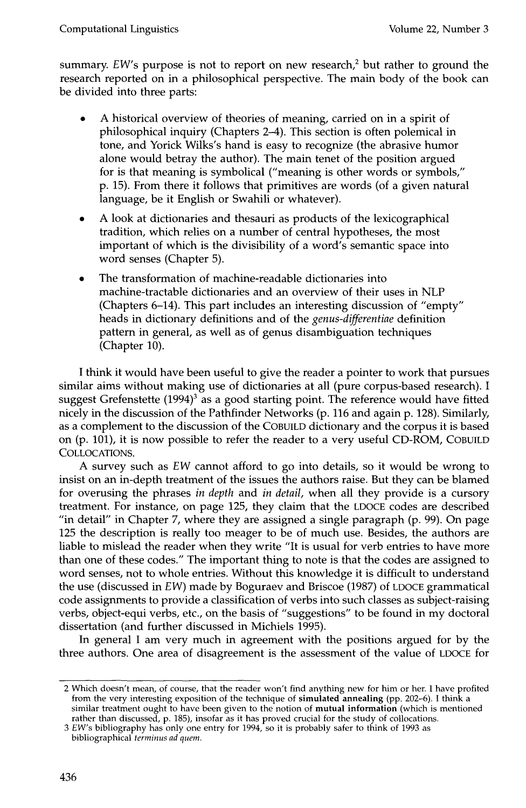summary. *EW's* purpose is not to report on new research,<sup>2</sup> but rather to ground the research reported on in a philosophical perspective. The main body of the book can be divided into three parts:

- A historical overview of theories of meaning, carried on in a spirit of philosophical inquiry (Chapters 2-4). This section is often polemical in tone, and Yorick Wilks's hand is easy to recognize (the abrasive humor alone would betray the author). The main tenet of the position argued for is that meaning is symbolical ("meaning is other words or symbols," p. 15). From there it follows that primitives are words (of a given natural language, be it English or Swahili or whatever).
- A look at dictionaries and thesauri as products of the lexicographical tradition, which relies on a number of central hypotheses, the most important of which is the divisibility of a word's semantic space into word senses (Chapter 5).
- The transformation of machine-readable dictionaries into machine-tractable dictionaries and an overview of their uses in NLP (Chapters 6-14). This part includes an interesting discussion of "empty" heads in dictionary definitions and of the *genus-differentiae* definition pattern in general, as well as of genus disambiguation techniques (Chapter 10).

I think it would have been useful to give the reader a pointer to work that pursues similar aims without making use of dictionaries at all (pure corpus-based research). I suggest Grefenstette  $(1994)^3$  as a good starting point. The reference would have fitted nicely in the discussion of the Pathfinder Networks (p. 116 and again p. 128). Similarly, as a complement to the discussion of the COBUILD dictionary and the corpus it is based on (p. 101), it is now possible to refer the reader to a very useful CD-ROM, COBUILD COLLOCATIONS.

A survey such as *EW* cannot afford to go into details, so it would be wrong to insist on an in-depth treatment of the issues the authors raise. But they can be blamed for overusing the phrases *in depth* and *in detail,* when all they provide is a cursory treatment. For instance, on page 125, they claim that the LDOCE codes are described "in detail" in Chapter 7, where they are assigned a single paragraph (p. 99). On page 125 the description is really too meager to be of much use. Besides, the authors are liable to mislead the reader when they write "It is usual for verb entries to have more than one of these codes." The important thing to note is that the codes are assigned to word senses, not to whole entries. Without this knowledge it is difficult to understand the use (discussed in *EW)* made by Boguraev and Briscoe (1987) of LDOCE grammatical code assignments to provide a classification of verbs into such classes as subject-raising verbs, object-equi verbs, etc., on the basis of "suggestions" to be found in my doctoral dissertation (and further discussed in Michiels 1995).

In general I am very much in agreement with the positions argued for by the three authors. One area of disagreement is the assessment of the value of LDOCE for

<sup>2</sup> Which doesn't mean, of course, that the reader won't find anything new for him or her. I have profited from the very interesting exposition of the technique of simulated annealing (pp. 202-6). I think a similar treatment ought to have been given to the notion of mutual information (which is mentioned rather than discussed, p. 185), insofar as it has proved crucial for the study of collocations.

*<sup>3</sup> EW's* bibliography has only one entry for 1994, so it is probably safer to think of 1993 as bibliographical *terminus ad quem.*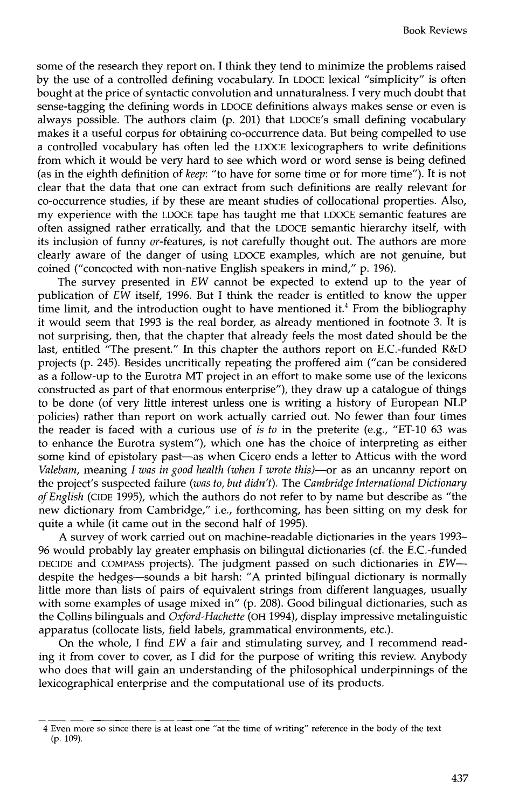some of the research they report on. I think they tend to minimize the problems raised by the use of a controlled defining vocabulary. In LDOCE lexical "simplicity" is often bought at the price of syntactic convolution and unnaturalness. I very much doubt that sense-tagging the defining words in LDOCE definitions always makes sense or even is always possible. The authors claim (p. 201) that LDOCE's small defining vocabulary makes it a useful corpus for obtaining co-occurrence data. But being compelled to use a controlled vocabulary has often led the LDOCE lexicographers to write definitions from which it would be very hard to see which word or word sense is being defined (as in the eighth definition of *keep:* "to have for some time or for more time"). It is not clear that the data that one can extract from such definitions are really relevant for co-occurrence studies, if by these are meant studies of collocational properties. Also, my experience with the LDOCE tape has taught me that LDOCE semantic features are often assigned rather erratically, and that the LDOCE semantic hierarchy itself, with its inclusion of funny 0r-features, is not carefully thought out. The authors are more clearly aware of the danger of using LDOCE examples, which are not genuine, but coined ("concocted with non-native English speakers in mind," p. 196).

The survey presented in *EW* cannot be expected to extend up to the year of publication of *EW* itself, 1996. But I think the reader is entitled to know the upper time limit, and the introduction ought to have mentioned it.<sup>4</sup> From the bibliography it would seem that 1993 is the real border, as already mentioned in footnote 3. It is not surprising, then, that the chapter that already feels the most dated should be the last, entitled "The present." In this chapter the authors report on E.C.-funded R&D projects (p. 245). Besides uncritically repeating the proffered aim ("can be considered as a follow-up to the Eurotra MT project in an effort to make some use of the lexicons constructed as part of that enormous enterprise"), they draw up a catalogue of things to be done (of very little interest unless one is writing a history of European NLP policies) rather than report on work actually carried out. No fewer than four times the reader is faced with a curious use of *is to* in the preterite (e.g., "ET-10 63 was to enhance the Eurotra system"), which one has the choice of interpreting as either some kind of epistolary past-as when Cicero ends a letter to Atticus with the word *Valebam,* meaning *I was in good health (when I wrote this)--or* as an uncanny report on the project's suspected failure *(was to, but didn't).* The *Cambridge International Dictionary of English* (CIDE 1995), which the authors do not refer to by name but describe as "the new dictionary from Cambridge," i.e., forthcoming, has been sitting on my desk for quite a while (it came out in the second half of 1995).

A survey of work carried out on machine-readable dictionaries in the years 1993- 96 would probably lay greater emphasis on bilingual dictionaries (cf. the E.C.-funded DECIDE and COMPASS projects). The judgment passed on such dictionaries in *EW-*  despite the hedges-sounds a bit harsh: "A printed bilingual dictionary is normally little more than lists of pairs of equivalent strings from different languages, usually with some examples of usage mixed in" (p. 208). Good bilingual dictionaries, such as the Collins bilinguals and *Oxford-Hachette* (OH 1994), display impressive metalinguistic apparatus (collocate lists, field labels, grammatical environments, etc.).

On the whole, I find *EW* a fair and stimulating survey, and I recommend reading it from cover to cover, as I did for the purpose of writing this review. Anybody who does that will gain an understanding of the philosophical underpinnings of the lexicographical enterprise and the computational use of its products.

<sup>4</sup> Even more so since there is at least one "at the time of writing" reference in the body of the text (p. 109).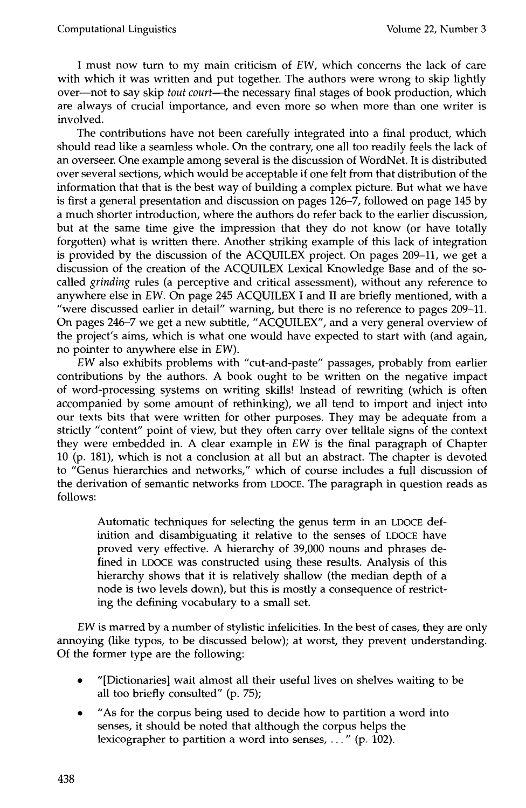I must now turn to my main criticism of *EW,* which concerns the lack of care with which it was written and put together. The authors were wrong to skip lightly over--not to say skip *tout court--the* necessary final stages of book production, which are always of crucial importance, and even more so when more than one writer is involved.

The contributions have not been carefully integrated into a final product, which should read like a seamless whole. On the contrary, one all too readily feels the lack of an overseer. One example among several is the discussion of WordNet. It is distributed over several sections, which would be acceptable if one felt from that distribution of the information that that is the best way of building a complex picture. But what we have is first a general presentation and discussion on pages 126-7, followed on page 145 by a much shorter introduction, where the authors do refer back to the earlier discussion, but at the same time give the impression that they do not know (or have totally forgotten) what is written there. Another striking example of this lack of integration is provided by the discussion of the ACQUILEX project. On pages 209-11, we get a discussion of the creation of the ACQUILEX Lexical Knowledge Base and of the socalled *grinding* rules (a perceptive and critical assessment), without any reference to anywhere else in *EW.* On page 245 ACQUILEX I and II are briefly mentioned, with a "were discussed earlier in detail" warning, but there is no reference to pages 209-11. On pages 246-7 we get a new subtitle, "ACQUILEX", and a very general overview of the project's aims, which is what one would have expected to start with (and again, no pointer to anywhere else in *EW).* 

*EW* also exhibits problems with "cut-and-paste" passages, probably from earlier contributions by the authors. A book ought to be written on the negative impact of word-processing systems on writing skills! Instead of rewriting (which is often accompanied by some amount of rethinking), we all tend to import and inject into our texts bits that were written for other purposes. They may be adequate from a strictly "content" point of view, but they often carry over telltale signs of the context they were embedded in. A clear example in *EW* is the final paragraph of Chapter 10 (p. 181), which is not a conclusion at all but an abstract. The chapter is devoted to "Genus hierarchies and networks," which of course includes a full discussion of the derivation of semantic networks from LDOCE. The paragraph in question reads as follows:

Automatic techniques for selecting the genus term in an LDOCE definition and disambiguating it relative to the senses of LDOCE have proved very effective. A hierarchy of 39,000 nouns and phrases defined in LDOCE was constructed using these results. Analysis of this hierarchy shows that it is relatively shallow (the median depth of a node is two levels down), but this is mostly a consequence of restricting the defining vocabulary to a small set.

*EW* is marred by a number of stylistic infelicities. In the best of cases, they are only annoying (like typos, to be discussed below); at worst, they prevent understanding. Of the former type are the following:

- "[Dictionaries] wait almost all their useful lives on shelves waiting to be all too briefly consulted" (p. 75);
- "As for the corpus being used to decide how to partition a word into senses, it should be noted that although the corpus helps the lexicographer to partition a word into senses,  $\dots$ " (p. 102).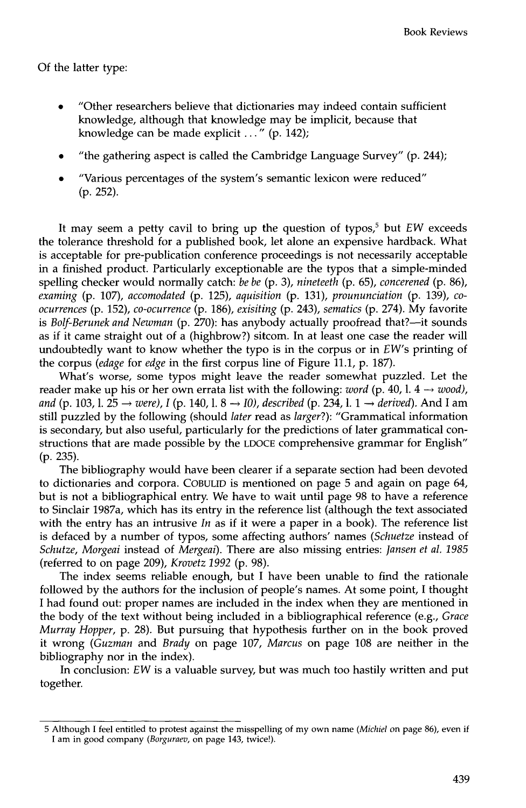## Of the latter type:

- "Other researchers believe that dictionaries may indeed contain sufficient knowledge, although that knowledge may be implicit, because that knowledge can be made explicit ..." (p. 142);
- "the gathering aspect is called the Cambridge Language Survey" (p. 244);
- "Various percentages of the system's semantic lexicon were reduced" (p. 252).

It may seem a petty cavil to bring up the question of typos,<sup>5</sup> but *EW* exceeds the tolerance threshold for a published book, let alone an expensive hardback. What is acceptable for pre-publication conference proceedings is not necessarily acceptable in a finished product. Particularly exceptionable are the typos that a simple-minded spelling checker would normally catch: *be be* (p. 3), *nineteeth* (p. 65), *concerened* (p. 86), *examing* (p. 107), *accomodated* (p. 125), *aquisition* (p. 131), *proununciation* (p. 139), *coocurrences* (p. 152), *co-ocurrence* (p. 186), *exisiting* (p. 243), *sematics* (p. 274). My favorite is *Bolf-Berunek and Newman* (p. 270): has anybody actually proofread that?—it sounds as if it came straight out of a (highbrow?) sitcom. In at least one case the reader will undoubtedly want to know whether the typo is in the corpus or in *EW's* printing of the corpus *(edage* for *edge in* the first corpus line of Figure 11.1, p. 187).

What's worse, some typos might leave the reader somewhat puzzled. Let the reader make up his or her own errata list with the following: *word* (p. 40, l.  $4 \rightarrow$  *wood*), *and* (p. 103, l. 25  $\rightarrow$  *were), I* (p. 140, l. 8  $\rightarrow$  *I0), described* (p. 234, l. 1  $\rightarrow$  *derived*). And I am still puzzled by the following (should *later* read as *larger?):* "Grammatical information is secondary, but also useful, particularly for the predictions of later grammatical constructions that are made possible by the LDOCE comprehensive grammar for English" (p. 235).

The bibliography would have been clearer if a separate section had been devoted to dictionaries and corpora. COBULID is mentioned on page 5 and again on page 64, but is not a bibliographical entry. We have to wait until page 98 to have a reference to Sinclair 1987a, which has its entry in the reference list (although the text associated with the entry has an intrusive *In* as if it were a paper in a book). The reference list is defaced by a number of typos, some affecting authors' names *(Schuetze* instead of *Schutze, Morgeai* instead of *Mergeai).* There are also missing entries: *Jansen et al. 1985*  (referred to on page 209), *Krovetz 1992* (p. 98).

The index seems reliable enough, but I have been unable to find the rationale followed by the authors for the inclusion of people's names. At some point, I thought I had found out: proper names are included in the index when they are mentioned in the body of the text without being included in a bibliographical reference (e.g., *Grace Murray Hopper,* p. 28). But pursuing that hypothesis further on in the book proved it wrong *(Guzman* and *Brady* on page 107, *Marcus* on page 108 are neither in the bibliography nor in the index).

In conclusion: *EW* is a valuable survey, but was much too hastily written and put together.

<sup>5</sup> Although I feel entitled to protest against the misspelling of my own name *(Michiel* on page 86), even if I am in good company *(Borguraev,* on page 143, twice!).